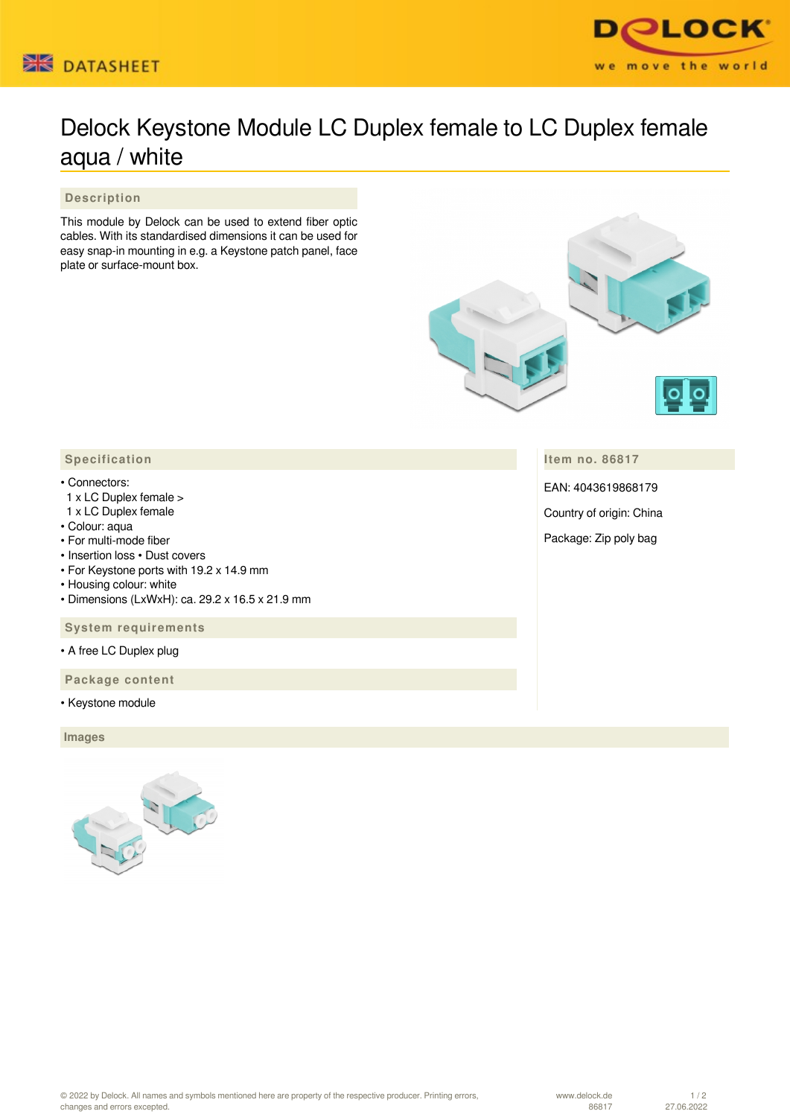



## Delock Keystone Module LC Duplex female to LC Duplex female aqua / white

 **Description**

This module by Delock can be used to extend fiber optic cables. With its standardised dimensions it can be used for easy snap-in mounting in e.g. a Keystone patch panel, face plate or surface-mount box.



**Item no. 86817**

EAN: 4043619868179

Country of origin: China

Package: Zip poly bag

## • Connectors:

- 1 x LC Duplex female >
- 1 x LC Duplex female
- Colour: aqua
- For multi-mode fiber
- Insertion loss Dust covers
- For Keystone ports with 19.2 x 14.9 mm
- Housing colour: white
- Dimensions (LxWxH): ca. 29.2 x 16.5 x 21.9 mm

 **System requirements**

• A free LC Duplex plug

 **Package content**

• Keystone module

 **Images**